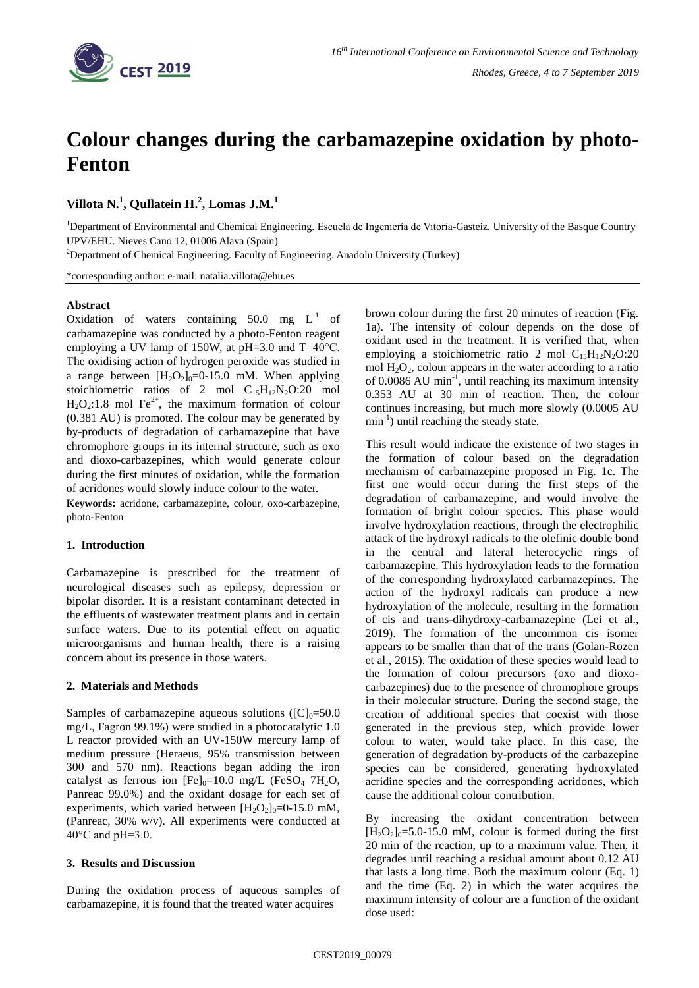

# **Colour changes during the carbamazepine oxidation by photo-Fenton**

**Villota N.<sup>1</sup> , Qullatein H.<sup>2</sup> , Lomas J.M.<sup>1</sup>**

<sup>1</sup>Department of Environmental and Chemical Engineering. Escuela de Ingeniería de Vitoria-Gasteiz. University of the Basque Country UPV/EHU. Nieves Cano 12, 01006 Alava (Spain)

<sup>2</sup>Department of Chemical Engineering. Faculty of Engineering. Anadolu University (Turkey)

\*corresponding author: e-mail: natalia.villota@ehu.es

## **Abstract**

Oxidation of waters containing  $50.0$  mg  $L^{-1}$  of carbamazepine was conducted by a photo-Fenton reagent employing a UV lamp of 150W, at pH=3.0 and T=40°C. The oxidising action of hydrogen peroxide was studied in a range between  $[H_2O_2]_0=0$ -15.0 mM. When applying stoichiometric ratios of 2 mol  $C_{15}H_{12}N_2O:20$  mol  $H_2O_2$ :1.8 mol Fe<sup>2+</sup>, the maximum formation of colour (0.381 AU) is promoted. The colour may be generated by by-products of degradation of carbamazepine that have chromophore groups in its internal structure, such as oxo and dioxo-carbazepines, which would generate colour during the first minutes of oxidation, while the formation of acridones would slowly induce colour to the water.

**Keywords:** acridone, carbamazepine, colour, oxo-carbazepine, photo-Fenton

### **1. Introduction**

Carbamazepine is prescribed for the treatment of neurological diseases such as epilepsy, depression or bipolar disorder. It is a resistant contaminant detected in the effluents of wastewater treatment plants and in certain surface waters. Due to its potential effect on aquatic microorganisms and human health, there is a raising concern about its presence in those waters.

### **2. Materials and Methods**

Samples of carbamazepine aqueous solutions ( $[C]_0 = 50.0$ mg/L, Fagron 99.1%) were studied in a photocatalytic 1.0 L reactor provided with an UV-150W mercury lamp of medium pressure (Heraeus, 95% transmission between 300 and 570 nm). Reactions began adding the iron catalyst as ferrous ion  $[Fe]_0=10.0$  mg/L (FeSO<sub>4</sub> 7H<sub>2</sub>O, Panreac 99.0%) and the oxidant dosage for each set of experiments, which varied between  $[H_2O_2]_0=0$ -15.0 mM, (Panreac, 30% w/v). All experiments were conducted at 40°C and pH=3.0.

### **3. Results and Discussion**

During the oxidation process of aqueous samples of carbamazepine, it is found that the treated water acquires

brown colour during the first 20 minutes of reaction (Fig. 1a). The intensity of colour depends on the dose of oxidant used in the treatment. It is verified that, when employing a stoichiometric ratio 2 mol  $C_{15}H_{12}N_2O:20$ mol  $H_2O_2$ , colour appears in the water according to a ratio of 0.0086 AU min<sup>-1</sup>, until reaching its maximum intensity 0.353 AU at 30 min of reaction. Then, the colour continues increasing, but much more slowly (0.0005 AU min<sup>-1</sup>) until reaching the steady state.

This result would indicate the existence of two stages in the formation of colour based on the degradation mechanism of carbamazepine proposed in Fig. 1c. The first one would occur during the first steps of the degradation of carbamazepine, and would involve the formation of bright colour species. This phase would involve hydroxylation reactions, through the electrophilic attack of the hydroxyl radicals to the olefinic double bond in the central and lateral heterocyclic rings of carbamazepine. This hydroxylation leads to the formation of the corresponding hydroxylated carbamazepines. The action of the hydroxyl radicals can produce a new hydroxylation of the molecule, resulting in the formation of cis and trans-dihydroxy-carbamazepine (Lei et al., 2019). The formation of the uncommon cis isomer appears to be smaller than that of the trans (Golan-Rozen et al., 2015). The oxidation of these species would lead to the formation of colour precursors (oxo and dioxocarbazepines) due to the presence of chromophore groups in their molecular structure. During the second stage, the creation of additional species that coexist with those generated in the previous step, which provide lower colour to water, would take place. In this case, the generation of degradation by-products of the carbazepine species can be considered, generating hydroxylated acridine species and the corresponding acridones, which cause the additional colour contribution.

By increasing the oxidant concentration between  $[H_2O_2]_0 = 5.0 - 15.0$  mM, colour is formed during the first 20 min of the reaction, up to a maximum value. Then, it degrades until reaching a residual amount about 0.12 AU that lasts a long time. Both the maximum colour (Eq. 1) and the time (Eq. 2) in which the water acquires the maximum intensity of colour are a function of the oxidant dose used: